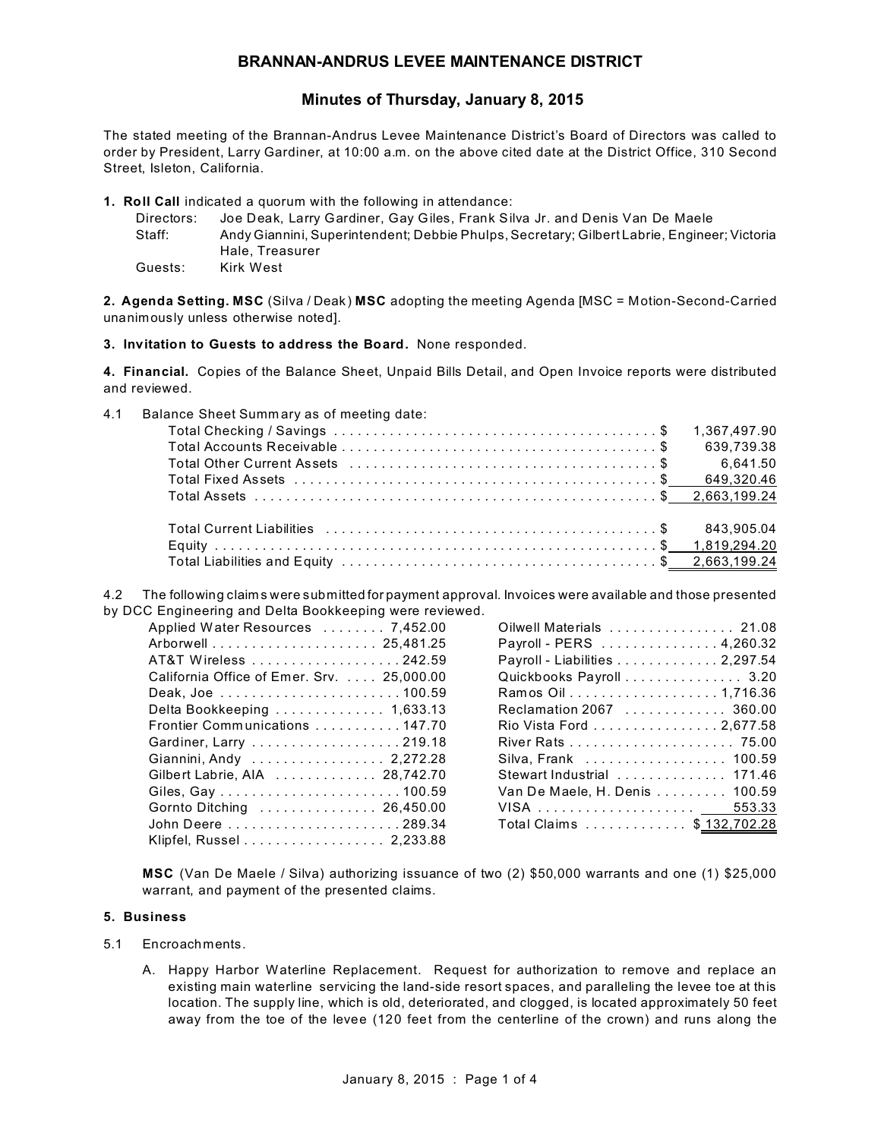## **BRANNAN-ANDRUS LEVEE MAINTENANCE DISTRICT**

# **Minutes of Thursday, January 8, 2015**

The stated meeting of the Brannan-Andrus Levee Maintenance District's Board of Directors was called to order by President, Larry Gardiner, at 10:00 a.m. on the above cited date at the District Office, 310 Second Street, Isleton, California.

**1. Roll Call** indicated a quorum with the following in attendance:

| Directors: | Joe Deak, Larry Gardiner, Gay Giles, Frank Silva Jr. and Denis Van De Maele                 |
|------------|---------------------------------------------------------------------------------------------|
| Staff:     | Andy Giannini, Superintendent; Debbie Phulps, Secretary; Gilbert Labrie, Engineer; Victoria |
|            | Hale, Treasurer                                                                             |
| Guests:    | Kirk West                                                                                   |

**2. Agenda Setting. MSC** (Silva / Deak) **MSC** adopting the meeting Agenda [MSC = Motion-Second-Carried unanimously unless otherwise noted].

#### **3. Invitation to Guests to address the Board.** None responded.

**4. Financial.** Copies of the Balance Sheet, Unpaid Bills Detail, and Open Invoice reports were distributed and reviewed.

4.1 Balance Sheet Summ ary as of meeting date:

| 639,739.38 |
|------------|
|            |
|            |
|            |
|            |
|            |
|            |

4.2 The following claim s were submitted for payment approval. Invoices were available and those presented by DCC Engineering and Delta Bookkeeping were reviewed.

| Applied Water Resources  7,452.00          | Oilwell Materials 21.08        |
|--------------------------------------------|--------------------------------|
|                                            | Payroll - PERS 4,260.32        |
| AT&T Wireless 242.59                       | Payroll - Liabilities 2,297.54 |
| California Office of Emer. Srv.  25,000.00 | Quickbooks Payroll 3.20        |
| Deak, Joe  100.59                          |                                |
| Delta Bookkeeping  1,633.13                | Reclamation 2067  360.00       |
| Frontier Communications 147.70             | Rio Vista Ford 2,677.58        |
| Gardiner, Larry 219.18                     |                                |
| Giannini, Andy  2,272.28                   | Silva, Frank  100.59           |
| Gilbert Labrie, AIA 28,742.70              | Stewart Industrial  171.46     |
|                                            | Van De Maele, H. Denis  100.59 |
| Gornto Ditching  26,450.00                 |                                |
|                                            | Total Claims \$ 132,702.28     |
| Klipfel, Russel 2,233.88                   |                                |

**MSC** (Van De Maele / Silva) authorizing issuance of two (2) \$50,000 warrants and one (1) \$25,000 warrant, and payment of the presented claims.

#### **5. Business**

- 5.1 Encroachments.
	- A. Happy Harbor Waterline Replacement. Request for authorization to remove and replace an existing main waterline servicing the land-side resort spaces, and paralleling the levee toe at this location. The supply line, which is old, deteriorated, and clogged, is located approximately 50 feet away from the toe of the levee (120 feet from the centerline of the crown) and runs along the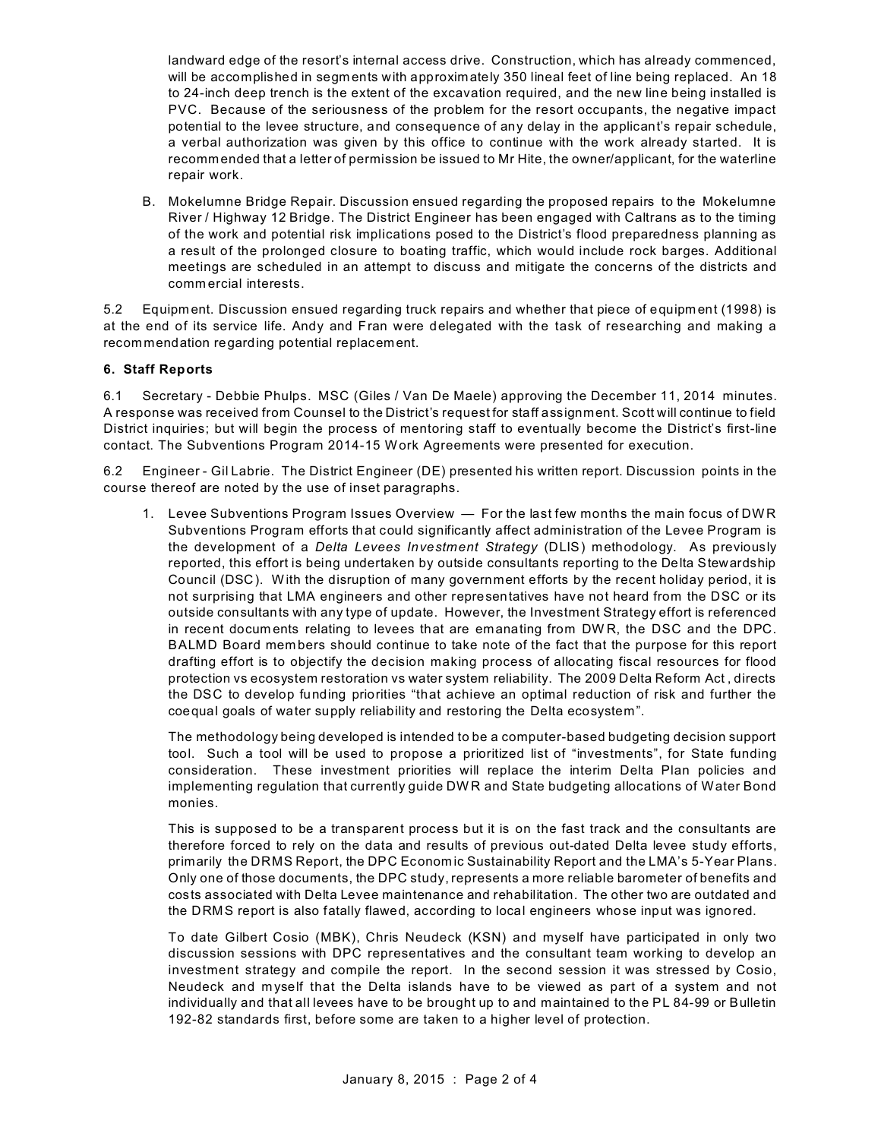landward edge of the resort's internal access drive. Construction, which has already commenced, will be accomplished in segm ents with approxim ately 350 lineal feet of line being replaced. An 18 to 24-inch deep trench is the extent of the excavation required, and the new line being installed is PVC. Because of the seriousness of the problem for the resort occupants, the negative impact potential to the levee structure, and consequence of any delay in the applicant's repair schedule, a verbal authorization was given by this office to continue with the work already started. It is recomm ended that a letter of permission be issued to Mr Hite, the owner/applicant, for the waterline repair work.

B. Mokelumne Bridge Repair. Discussion ensued regarding the proposed repairs to the Mokelumne River / Highway 12 Bridge. The District Engineer has been engaged with Caltrans as to the timing of the work and potential risk implications posed to the District's flood preparedness planning as a result of the prolonged closure to boating traffic, which would include rock barges. Additional meetings are scheduled in an attempt to discuss and mitigate the concerns of the districts and comm ercial interests.

5.2 Equipm ent. Discussion ensued regarding truck repairs and whether that piece of equipm ent (1998) is at the end of its service life. Andy and Fran were delegated with the task of researching and making a recommendation regarding potential replacement.

### **6. Staff Reports**

6.1 Secretary - Debbie Phulps. MSC (Giles / Van De Maele) approving the December 11, 2014 minutes. A response was received from Counsel to the District's request for staff assignment. Scott will continue to field District inquiries; but will begin the process of mentoring staff to eventually become the District's first-line contact. The Subventions Program 2014-15 Work Agreements were presented for execution.

6.2 Engineer - Gil Labrie. The District Engineer (DE) presented his written report. Discussion points in the course thereof are noted by the use of inset paragraphs.

1. Levee Subventions Program Issues Overview — For the last few months the main focus of DWR Subventions Program efforts that could significantly affect administration of the Levee Program is the development of a *Delta Levees Investment Strategy* (DLIS) methodology. As previously reported, this effort is being undertaken by outside consultants reporting to the Delta Stewardship Council (DSC). With the disruption of many government efforts by the recent holiday period, it is not surprising that LMA engineers and other representatives have not heard from the DSC or its outside consultants with any type of update. However, the Investment Strategy effort is referenced in recent docum ents relating to levees that are emanating from DW R, the DSC and the DPC. BALMD Board members should continue to take note of the fact that the purpose for this report drafting effort is to objectify the decision making process of allocating fiscal resources for flood protection vs ecosystem restoration vs water system reliability. The 2009 Delta Reform Act , directs the DSC to develop funding priorities "that achieve an optimal reduction of risk and further the coequal goals of water supply reliability and restoring the Delta ecosystem".

The methodology being developed is intended to be a computer-based budgeting decision support tool. Such a tool will be used to propose a prioritized list of "investments", for State funding consideration. These investment priorities will replace the interim Delta Plan policies and implementing regulation that currently guide DW R and State budgeting allocations of Water Bond monies.

This is supposed to be a transparent process but it is on the fast track and the consultants are therefore forced to rely on the data and results of previous out-dated Delta levee study efforts, primarily the DRMS Report, the DPC Econom ic Sustainability Report and the LMA's 5-Year Plans. Only one of those documents, the DPC study, represents a more reliable barometer of benefits and costs associated with Delta Levee maintenance and rehabilitation. The other two are outdated and the DRMS report is also fatally flawed, according to local engineers whose input was ignored.

To date Gilbert Cosio (MBK), Chris Neudeck (KSN) and myself have participated in only two discussion sessions with DPC representatives and the consultant team working to develop an investment strategy and compile the report. In the second session it was stressed by Cosio, Neudeck and m yself that the Delta islands have to be viewed as part of a system and not individually and that all levees have to be brought up to and maintained to the PL 84-99 or Bulletin 192-82 standards first, before some are taken to a higher level of protection.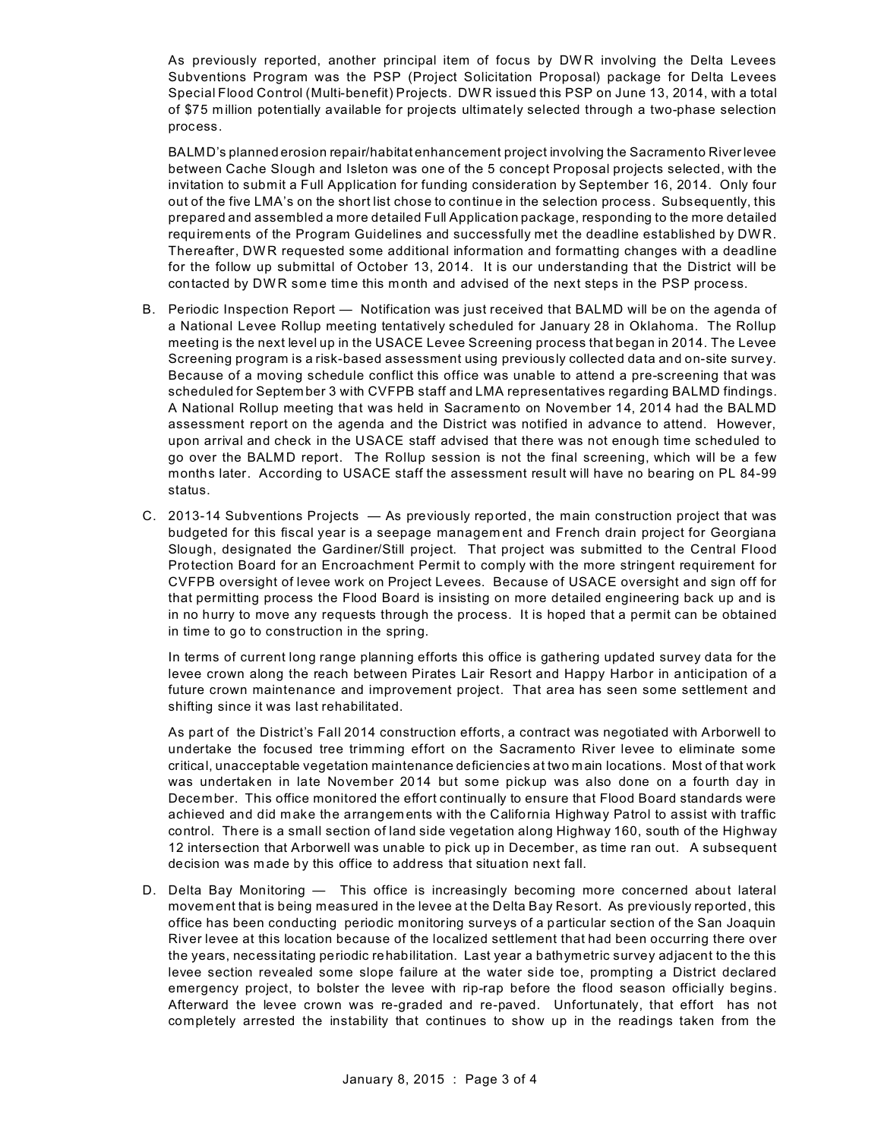As previously reported, another principal item of focus by DW R involving the Delta Levees Subventions Program was the PSP (Project Solicitation Proposal) package for Delta Levees Special Flood Control (Multi-benefit) Projects. DWR issued this PSP on June 13, 2014, with a total of \$75 m illion potentially available for projects ultimately selected through a two-phase selection process.

BALMD's planned erosion repair/habitat enhancement project involving the Sacramento Riverlevee between Cache Slough and Isleton was one of the 5 concept Proposal projects selected, with the invitation to submit a Full Application for funding consideration by September 16, 2014. Only four out of the five LMA's on the short list chose to continue in the selection process. Subsequently, this prepared and assembled a more detailed Full Application package, responding to the more detailed requirements of the Program Guidelines and successfully met the deadline established by DWR. Thereafter, DWR requested some additional information and formatting changes with a deadline for the follow up submittal of October 13, 2014. It is our understanding that the District will be contacted by DW R some time this m onth and advised of the next steps in the PSP process.

- B. Periodic Inspection Report Notification was just received that BALMD will be on the agenda of a National Levee Rollup meeting tentatively scheduled for January 28 in Oklahoma. The Rollup meeting is the next level up in the USACE Levee Screening process that began in 2014. The Levee Screening program is a risk-based assessment using previously collected data and on-site survey. Because of a moving schedule conflict this office was unable to attend a pre-screening that was scheduled for September 3 with CVFPB staff and LMA representatives regarding BALMD findings. A National Rollup meeting that was held in Sacramento on November 14, 2014 had the BALMD assessment report on the agenda and the District was notified in advance to attend. However, upon arrival and check in the USACE staff advised that there was not enough time scheduled to go over the BALMD report. The Rollup session is not the final screening, which will be a few months later. According to USACE staff the assessment result will have no bearing on PL 84-99 status.
- C. 2013-14 Subventions Projects As previously reported, the main construction project that was budgeted for this fiscal year is a seepage managem ent and French drain project for Georgiana Slough, designated the Gardiner/Still project. That project was submitted to the Central Flood Protection Board for an Encroachment Permit to comply with the more stringent requirement for CVFPB oversight of levee work on Project Levees. Because of USACE oversight and sign off for that permitting process the Flood Board is insisting on more detailed engineering back up and is in no hurry to move any requests through the process. It is hoped that a permit can be obtained in time to go to construction in the spring.

In terms of current long range planning efforts this office is gathering updated survey data for the levee crown along the reach between Pirates Lair Resort and Happy Harbor in anticipation of a future crown maintenance and improvement project. That area has seen some settlement and shifting since it was last rehabilitated.

As part of the District's Fall 2014 construction efforts, a contract was negotiated with Arborwell to undertake the focused tree trimming effort on the Sacramento River levee to eliminate some critical, unacceptable vegetation maintenance deficiencies at two m ain locations. Most of that work was undertaken in late November 2014 but some pickup was also done on a fourth day in December. This office monitored the effort continually to ensure that Flood Board standards were achieved and did m ake the arrangem ents with the California Highway Patrol to assist with traffic control. There is a small section of land side vegetation along Highway 160, south of the Highway 12 intersection that Arborwell was unable to pick up in December, as time ran out. A subsequent decision was m ade by this office to address that situation next fall.

D. Delta Bay Monitoring — This office is increasingly becoming more concerned about lateral movem ent that is being measured in the levee at the Delta Bay Resort. As previously reported, this office has been conducting periodic monitoring surveys of a particular section of the San Joaquin River levee at this location because of the localized settlement that had been occurring there over the years, necessitating periodic rehabilitation. Last year a bathymetric survey adjacent to the this levee section revealed some slope failure at the water side toe, prompting a District declared emergency project, to bolster the levee with rip-rap before the flood season officially begins. Afterward the levee crown was re-graded and re-paved. Unfortunately, that effort has not completely arrested the instability that continues to show up in the readings taken from the